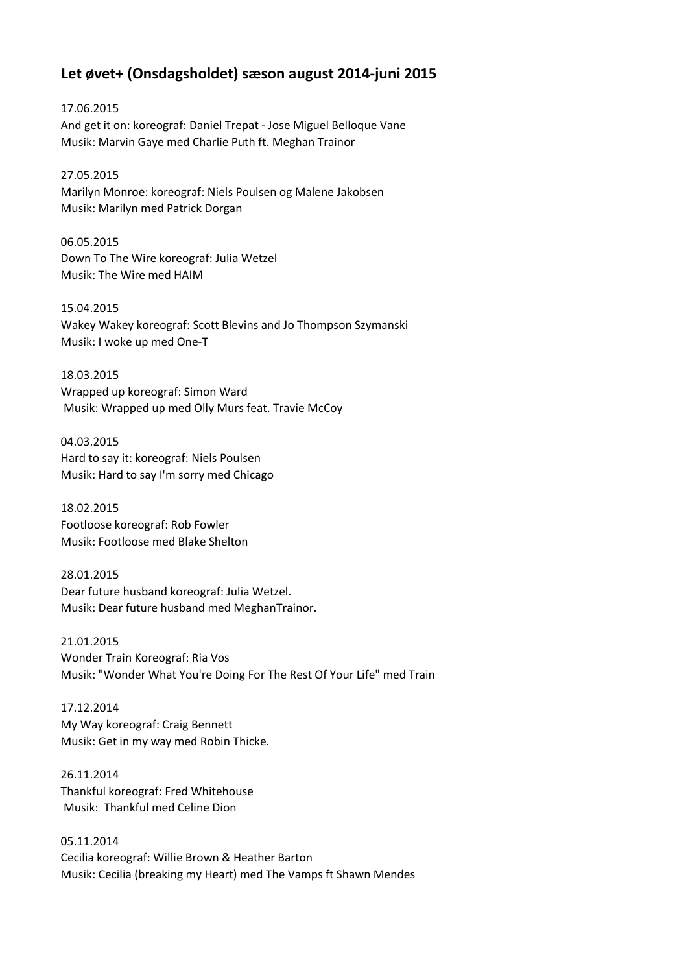## **Let øvet+ (Onsdagsholdet) sæson august 2014-juni 2015**

17.06.2015 And get it on: koreograf: Daniel Trepat - Jose Miguel Belloque Vane Musik: Marvin Gaye med Charlie Puth ft. Meghan Trainor

27.05.2015 Marilyn Monroe: koreograf: Niels Poulsen og Malene Jakobsen Musik: Marilyn med Patrick Dorgan

06.05.2015 Down To The Wire koreograf: Julia Wetzel Musik: The Wire med HAIM

15.04.2015 Wakey Wakey koreograf: Scott Blevins and Jo Thompson Szymanski Musik: I woke up med One-T

18.03.2015 Wrapped up koreograf: Simon Ward Musik: Wrapped up med Olly Murs feat. Travie McCoy

04.03.2015 Hard to say it: koreograf: Niels Poulsen Musik: Hard to say I'm sorry med Chicago

18.02.2015 Footloose koreograf: Rob Fowler Musik: Footloose med Blake Shelton

28.01.2015 Dear future husband koreograf: Julia Wetzel. Musik: Dear future husband med MeghanTrainor.

21.01.2015 Wonder Train Koreograf: Ria Vos Musik: "Wonder What You're Doing For The Rest Of Your Life" med Train

17.12.2014 My Way koreograf: Craig Bennett Musik: Get in my way med Robin Thicke.

26.11.2014 Thankful koreograf: Fred Whitehouse Musik: Thankful med Celine Dion

05.11.2014 Cecilia koreograf: Willie Brown & Heather Barton Musik: Cecilia (breaking my Heart) med The Vamps ft Shawn Mendes